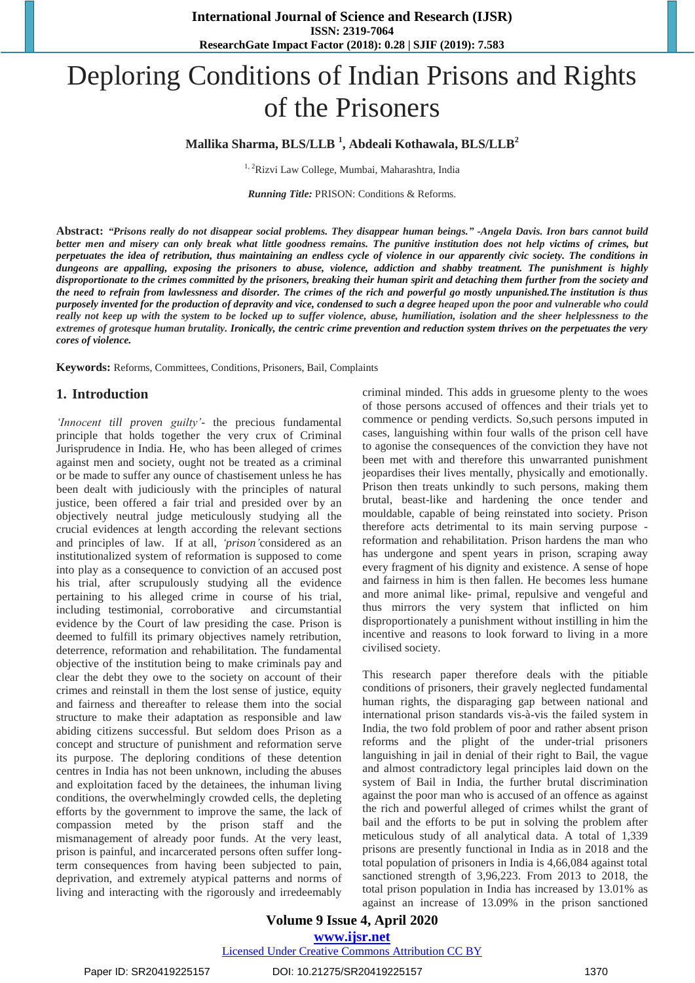# Deploring Conditions of Indian Prisons and Rights of the Prisoners

# **Mallika Sharma, BLS/LLB <sup>1</sup> , Abdeali Kothawala, BLS/LLB<sup>2</sup>**

<sup>1, 2</sup>Rizvi Law College, Mumbai, Maharashtra, India

*Running Title:* PRISON: Conditions & Reforms.

Abstract: "Prisons really do not disappear social problems. They disappear human beings." -Angela Davis. Iron bars cannot build better men and misery can only break what little goodness remains. The punitive institution does not help victims of crimes, but perpetuates the idea of retribution, thus maintaining an endless cycle of violence in our apparently civic society. The conditions in dungeons are appalling, exposing the prisoners to abuse, violence, addiction and shabby treatment. The punishment is highly disproportionate to the crimes committed by the prisoners, breaking their human spirit and detaching them further from the society and the need to refrain from lawlessness and disorder. The crimes of the rich and powerful go mostly unpunished. The institution is thus purposely invented for the production of depravity and vice, condensed to such a degree heaped upon the poor and vulnerable who could really not keep up with the system to be locked up to suffer violence, abuse, humiliation, isolation and the sheer helplessness to the *extremes of grotesque human brutality. Ironically, the centric crime prevention and reduction system thrives on the perpetuates the very cores of violence.*

**Keywords:** Reforms, Committees, Conditions, Prisoners, Bail, Complaints

## **1. Introduction**

*"Innocent till proven guilty"*- the precious fundamental principle that holds together the very crux of Criminal Jurisprudence in India. He, who has been alleged of crimes against men and society, ought not be treated as a criminal or be made to suffer any ounce of chastisement unless he has been dealt with judiciously with the principles of natural justice, been offered a fair trial and presided over by an objectively neutral judge meticulously studying all the crucial evidences at length according the relevant sections and principles of law. If at all, 'prison' considered as an institutionalized system of reformation is supposed to come into play as a consequence to conviction of an accused post his trial, after scrupulously studying all the evidence pertaining to his alleged crime in course of his trial, including testimonial, corroborative and circumstantial evidence by the Court of law presiding the case. Prison is deemed to fulfill its primary objectives namely retribution, deterrence, reformation and rehabilitation. The fundamental objective of the institution being to make criminals pay and clear the debt they owe to the society on account of their crimes and reinstall in them the lost sense of justice, equity and fairness and thereafter to release them into the social structure to make their adaptation as responsible and law abiding citizens successful. But seldom does Prison as a concept and structure of punishment and reformation serve its purpose. The deploring conditions of these detention centres in India has not been unknown, including the abuses and exploitation faced by the detainees, the inhuman living conditions, the overwhelmingly crowded cells, the depleting efforts by the government to improve the same, the lack of compassion meted by the prison staff and the mismanagement of already poor funds. At the very least, prison is painful, and incarcerated persons often suffer longterm consequences from having been subjected to pain, deprivation, and extremely atypical patterns and norms of living and interacting with the rigorously and irredeemably criminal minded. This adds in gruesome plenty to the woes of those persons accused of offences and their trials yet to commence or pending verdicts. So,such persons imputed in cases, languishing within four walls of the prison cell have to agonise the consequences of the conviction they have not been met with and therefore this unwarranted punishment jeopardises their lives mentally, physically and emotionally. Prison then treats unkindly to such persons, making them brutal, beast-like and hardening the once tender and mouldable, capable of being reinstated into society. Prison therefore acts detrimental to its main serving purpose reformation and rehabilitation. Prison hardens the man who has undergone and spent years in prison, scraping away every fragment of his dignity and existence. A sense of hope and fairness in him is then fallen. He becomes less humane and more animal like- primal, repulsive and vengeful and thus mirrors the very system that inflicted on him disproportionately a punishment without instilling in him the incentive and reasons to look forward to living in a more civilised society.

This research paper therefore deals with the pitiable conditions of prisoners, their gravely neglected fundamental human rights, the disparaging gap between national and international prison standards vis-à-vis the failed system in India, the two fold problem of poor and rather absent prison reforms and the plight of the under-trial prisoners languishing in jail in denial of their right to Bail, the vague and almost contradictory legal principles laid down on the system of Bail in India, the further brutal discrimination against the poor man who is accused of an offence as against the rich and powerful alleged of crimes whilst the grant of bail and the efforts to be put in solving the problem after meticulous study of all analytical data. A total of 1,339 prisons are presently functional in India as in 2018 and the total population of prisoners in India is 4,66,084 against total sanctioned strength of 3,96,223. From 2013 to 2018, the total prison population in India has increased by 13.01% as against an increase of 13.09% in the prison sanctioned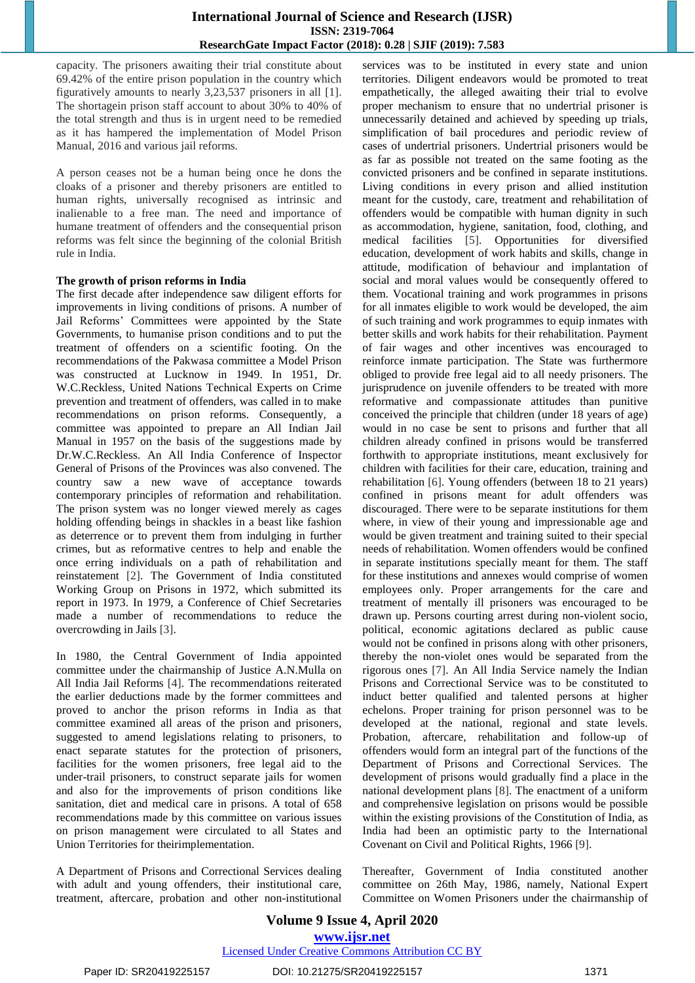capacity. The prisoners awaiting their trial constitute about 69.42% of the entire prison population in the country which figuratively amounts to nearly 3,23,537 prisoners in all [1]. The shortagein prison staff account to about 30% to 40% of the total strength and thus is in urgent need to be remedied as it has hampered the implementation of Model Prison Manual, 2016 and various jail reforms.

A person ceases not be a human being once he dons the cloaks of a prisoner and thereby prisoners are entitled to human rights, universally recognised as intrinsic and inalienable to a free man. The need and importance of humane treatment of offenders and the consequential prison reforms was felt since the beginning of the colonial British rule in India.

#### **The growth of prison reforms in India**

The first decade after independence saw diligent efforts for improvements in living conditions of prisons. A number of Jail Reforms" Committees were appointed by the State Governments, to humanise prison conditions and to put the treatment of offenders on a scientific footing. On the recommendations of the Pakwasa committee a Model Prison was constructed at Lucknow in 1949. In 1951, Dr. W.C.Reckless, United Nations Technical Experts on Crime prevention and treatment of offenders, was called in to make recommendations on prison reforms. Consequently, a committee was appointed to prepare an All Indian Jail Manual in 1957 on the basis of the suggestions made by Dr.W.C.Reckless. An All India Conference of Inspector General of Prisons of the Provinces was also convened. The country saw a new wave of acceptance towards contemporary principles of reformation and rehabilitation. The prison system was no longer viewed merely as cages holding offending beings in shackles in a beast like fashion as deterrence or to prevent them from indulging in further crimes, but as reformative centres to help and enable the once erring individuals on a path of rehabilitation and reinstatement [2]. The Government of India constituted Working Group on Prisons in 1972, which submitted its report in 1973. In 1979, a Conference of Chief Secretaries made a number of recommendations to reduce the overcrowding in Jails [3].

In 1980, the Central Government of India appointed committee under the chairmanship of Justice A.N.Mulla on All India Jail Reforms [4]. The recommendations reiterated the earlier deductions made by the former committees and proved to anchor the prison reforms in India as that committee examined all areas of the prison and prisoners, suggested to amend legislations relating to prisoners, to enact separate statutes for the protection of prisoners, facilities for the women prisoners, free legal aid to the under-trail prisoners, to construct separate jails for women and also for the improvements of prison conditions like sanitation, diet and medical care in prisons. A total of 658 recommendations made by this committee on various issues on prison management were circulated to all States and Union Territories for theirimplementation.

A Department of Prisons and Correctional Services dealing with adult and young offenders, their institutional care, treatment, aftercare, probation and other non-institutional services was to be instituted in every state and union territories. Diligent endeavors would be promoted to treat empathetically, the alleged awaiting their trial to evolve proper mechanism to ensure that no undertrial prisoner is unnecessarily detained and achieved by speeding up trials, simplification of bail procedures and periodic review of cases of undertrial prisoners. Undertrial prisoners would be as far as possible not treated on the same footing as the convicted prisoners and be confined in separate institutions. Living conditions in every prison and allied institution meant for the custody, care, treatment and rehabilitation of offenders would be compatible with human dignity in such as accommodation, hygiene, sanitation, food, clothing, and medical facilities [5]. Opportunities for diversified education, development of work habits and skills, change in attitude, modification of behaviour and implantation of social and moral values would be consequently offered to them. Vocational training and work programmes in prisons for all inmates eligible to work would be developed, the aim of such training and work programmes to equip inmates with better skills and work habits for their rehabilitation. Payment of fair wages and other incentives was encouraged to reinforce inmate participation. The State was furthermore obliged to provide free legal aid to all needy prisoners. The jurisprudence on juvenile offenders to be treated with more reformative and compassionate attitudes than punitive conceived the principle that children (under 18 years of age) would in no case be sent to prisons and further that all children already confined in prisons would be transferred forthwith to appropriate institutions, meant exclusively for children with facilities for their care, education, training and rehabilitation [6]. Young offenders (between 18 to 21 years) confined in prisons meant for adult offenders was discouraged. There were to be separate institutions for them where, in view of their young and impressionable age and would be given treatment and training suited to their special needs of rehabilitation. Women offenders would be confined in separate institutions specially meant for them. The staff for these institutions and annexes would comprise of women employees only. Proper arrangements for the care and treatment of mentally ill prisoners was encouraged to be drawn up. Persons courting arrest during non-violent socio, political, economic agitations declared as public cause would not be confined in prisons along with other prisoners, thereby the non-violet ones would be separated from the rigorous ones [7]. An All India Service namely the Indian Prisons and Correctional Service was to be constituted to induct better qualified and talented persons at higher echelons. Proper training for prison personnel was to be developed at the national, regional and state levels. Probation, aftercare, rehabilitation and follow-up of offenders would form an integral part of the functions of the Department of Prisons and Correctional Services. The development of prisons would gradually find a place in the national development plans [8]. The enactment of a uniform and comprehensive legislation on prisons would be possible within the existing provisions of the Constitution of India, as India had been an optimistic party to the International Covenant on Civil and Political Rights, 1966 [9].

Thereafter, Government of India constituted another committee on 26th May, 1986, namely, National Expert Committee on Women Prisoners under the chairmanship of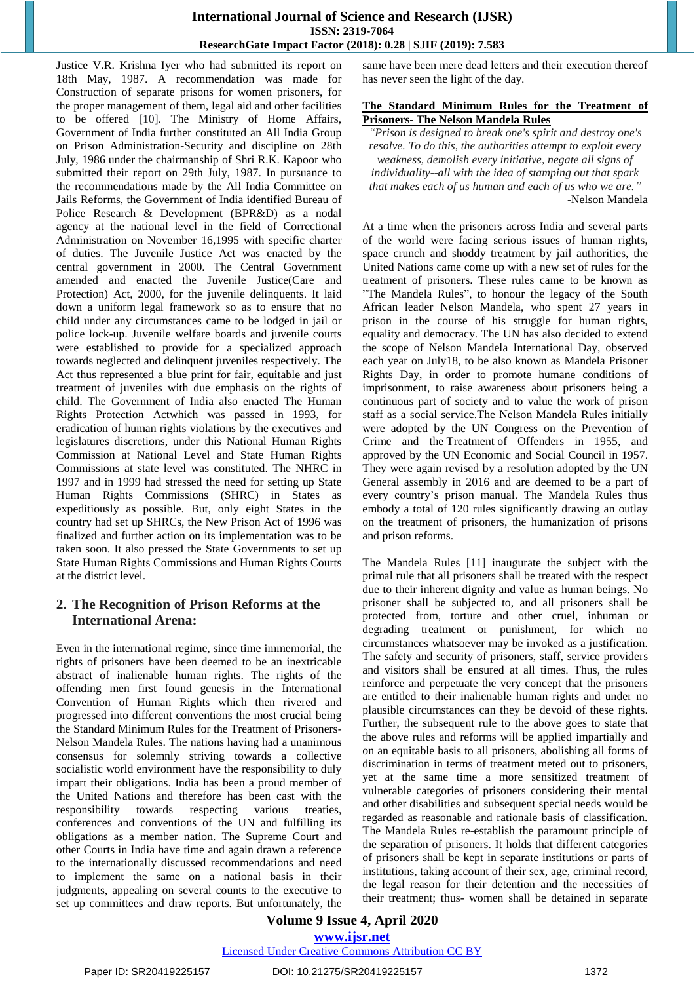Justice V.R. Krishna Iyer who had submitted its report on 18th May, 1987. A recommendation was made for Construction of separate prisons for women prisoners, for the proper management of them, legal aid and other facilities to be offered [10]. The Ministry of Home Affairs, Government of India further constituted an All India Group on Prison Administration-Security and discipline on 28th July, 1986 under the chairmanship of Shri R.K. Kapoor who submitted their report on 29th July, 1987. In pursuance to the recommendations made by the All India Committee on Jails Reforms, the Government of India identified Bureau of Police Research & Development (BPR&D) as a nodal agency at the national level in the field of Correctional Administration on November 16,1995 with specific charter of duties. The Juvenile Justice Act was enacted by the central government in 2000. The Central Government amended and enacted the Juvenile Justice(Care and Protection) Act, 2000, for the juvenile delinquents. It laid down a uniform legal framework so as to ensure that no child under any circumstances came to be lodged in jail or police lock-up. Juvenile welfare boards and juvenile courts were established to provide for a specialized approach towards neglected and delinquent juveniles respectively. The Act thus represented a blue print for fair, equitable and just treatment of juveniles with due emphasis on the rights of child. The Government of India also enacted The Human Rights Protection Actwhich was passed in 1993, for eradication of human rights violations by the executives and legislatures discretions, under this National Human Rights Commission at National Level and State Human Rights Commissions at state level was constituted. The NHRC in 1997 and in 1999 had stressed the need for setting up State Human Rights Commissions (SHRC) in States as expeditiously as possible. But, only eight States in the country had set up SHRCs, the New Prison Act of 1996 was finalized and further action on its implementation was to be taken soon. It also pressed the State Governments to set up State Human Rights Commissions and Human Rights Courts at the district level.

# **2. The Recognition of Prison Reforms at the International Arena:**

Even in the international regime, since time immemorial, the rights of prisoners have been deemed to be an inextricable abstract of inalienable human rights. The rights of the offending men first found genesis in the International Convention of Human Rights which then rivered and progressed into different conventions the most crucial being the Standard Minimum Rules for the Treatment of Prisoners-Nelson Mandela Rules. The nations having had a unanimous consensus for solemnly striving towards a collective socialistic world environment have the responsibility to duly impart their obligations. India has been a proud member of the United Nations and therefore has been cast with the responsibility towards respecting various treaties, conferences and conventions of the UN and fulfilling its obligations as a member nation. The Supreme Court and other Courts in India have time and again drawn a reference to the internationally discussed recommendations and need to implement the same on a national basis in their judgments, appealing on several counts to the executive to set up committees and draw reports. But unfortunately, the same have been mere dead letters and their execution thereof has never seen the light of the day.

#### **The Standard Minimum Rules for the Treatment of Prisoners- The Nelson Mandela Rules**

*"Prison is designed to break one's spirit and destroy one's resolve. To do this, the authorities attempt to exploit every weakness, demolish every initiative, negate all signs of individuality--all with the idea of stamping out that spark that makes each of us human and each of us who we are."* -Nelson Mandela

At a time when the prisoners across India and several parts of the world were facing serious issues of human rights, space crunch and shoddy treatment by jail authorities, the United Nations came come up with a new set of rules for the treatment of prisoners. These rules came to be known as "The Mandela Rules", to honour the legacy of the South African leader Nelson Mandela, who spent 27 years in prison in the course of his struggle for human rights, equality and democracy. The UN has also decided to extend the scope of Nelson Mandela International Day, observed each year on July18, to be also known as Mandela Prisoner Rights Day, in order to promote humane conditions of imprisonment, to raise awareness about prisoners being a continuous part of society and to value the work of prison staff as a social service.The Nelson Mandela Rules initially were adopted by the UN Congress on the Prevention of Crime and the Treatment of Offenders in 1955, and approved by the UN Economic and Social Council in 1957. They were again revised by a resolution adopted by the UN General assembly in 2016 and are deemed to be a part of every country"s prison manual. The Mandela Rules thus embody a total of 120 rules significantly drawing an outlay on the treatment of prisoners, the humanization of prisons and prison reforms.

The Mandela Rules [11] inaugurate the subject with the primal rule that all prisoners shall be treated with the respect due to their inherent dignity and value as human beings. No prisoner shall be subjected to, and all prisoners shall be protected from, torture and other cruel, inhuman or degrading treatment or punishment, for which no circumstances whatsoever may be invoked as a justification. The safety and security of prisoners, staff, service providers and visitors shall be ensured at all times. Thus, the rules reinforce and perpetuate the very concept that the prisoners are entitled to their inalienable human rights and under no plausible circumstances can they be devoid of these rights. Further, the subsequent rule to the above goes to state that the above rules and reforms will be applied impartially and on an equitable basis to all prisoners, abolishing all forms of discrimination in terms of treatment meted out to prisoners, yet at the same time a more sensitized treatment of vulnerable categories of prisoners considering their mental and other disabilities and subsequent special needs would be regarded as reasonable and rationale basis of classification. The Mandela Rules re-establish the paramount principle of the separation of prisoners. It holds that different categories of prisoners shall be kept in separate institutions or parts of institutions, taking account of their sex, age, criminal record, the legal reason for their detention and the necessities of their treatment; thus- women shall be detained in separate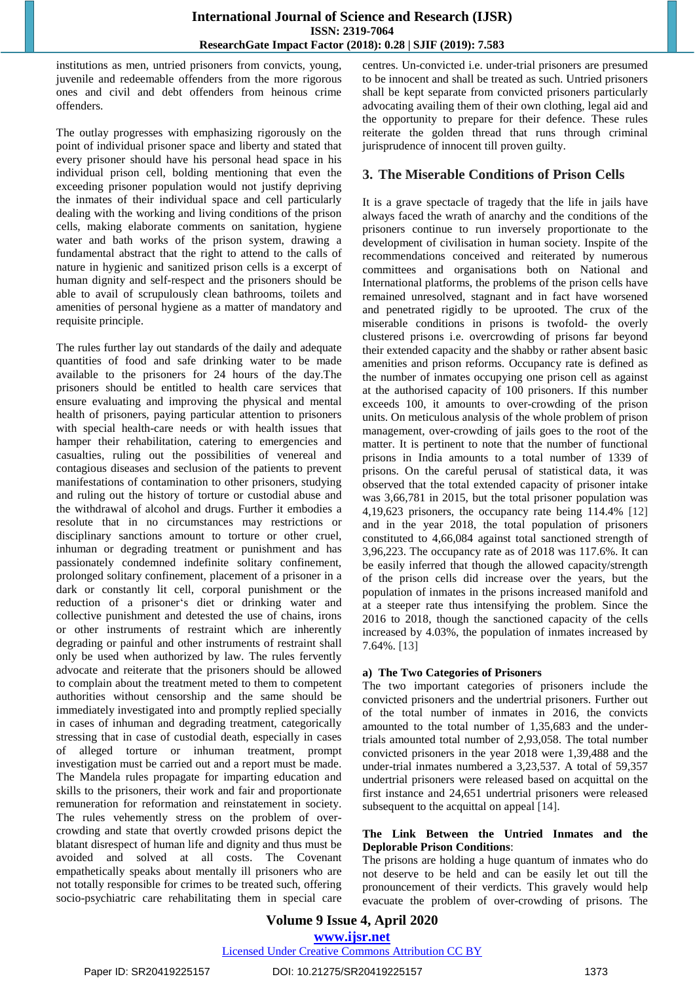institutions as men, untried prisoners from convicts, young, juvenile and redeemable offenders from the more rigorous ones and civil and debt offenders from heinous crime offenders.

The outlay progresses with emphasizing rigorously on the point of individual prisoner space and liberty and stated that every prisoner should have his personal head space in his individual prison cell, bolding mentioning that even the exceeding prisoner population would not justify depriving the inmates of their individual space and cell particularly dealing with the working and living conditions of the prison cells, making elaborate comments on sanitation, hygiene water and bath works of the prison system, drawing a fundamental abstract that the right to attend to the calls of nature in hygienic and sanitized prison cells is a excerpt of human dignity and self-respect and the prisoners should be able to avail of scrupulously clean bathrooms, toilets and amenities of personal hygiene as a matter of mandatory and requisite principle.

The rules further lay out standards of the daily and adequate quantities of food and safe drinking water to be made available to the prisoners for 24 hours of the day.The prisoners should be entitled to health care services that ensure evaluating and improving the physical and mental health of prisoners, paying particular attention to prisoners with special health-care needs or with health issues that hamper their rehabilitation, catering to emergencies and casualties, ruling out the possibilities of venereal and contagious diseases and seclusion of the patients to prevent manifestations of contamination to other prisoners, studying and ruling out the history of torture or custodial abuse and the withdrawal of alcohol and drugs. Further it embodies a resolute that in no circumstances may restrictions or disciplinary sanctions amount to torture or other cruel, inhuman or degrading treatment or punishment and has passionately condemned indefinite solitary confinement, prolonged solitary confinement, placement of a prisoner in a dark or constantly lit cell, corporal punishment or the reduction of a prisoner's diet or drinking water and collective punishment and detested the use of chains, irons or other instruments of restraint which are inherently degrading or painful and other instruments of restraint shall only be used when authorized by law. The rules fervently advocate and reiterate that the prisoners should be allowed to complain about the treatment meted to them to competent authorities without censorship and the same should be immediately investigated into and promptly replied specially in cases of inhuman and degrading treatment, categorically stressing that in case of custodial death, especially in cases of alleged torture or inhuman treatment, prompt investigation must be carried out and a report must be made. The Mandela rules propagate for imparting education and skills to the prisoners, their work and fair and proportionate remuneration for reformation and reinstatement in society. The rules vehemently stress on the problem of overcrowding and state that overtly crowded prisons depict the blatant disrespect of human life and dignity and thus must be avoided and solved at all costs. The Covenant empathetically speaks about mentally ill prisoners who are not totally responsible for crimes to be treated such, offering socio-psychiatric care rehabilitating them in special care centres. Un-convicted i.e. under-trial prisoners are presumed to be innocent and shall be treated as such. Untried prisoners shall be kept separate from convicted prisoners particularly advocating availing them of their own clothing, legal aid and the opportunity to prepare for their defence. These rules reiterate the golden thread that runs through criminal jurisprudence of innocent till proven guilty.

# **3. The Miserable Conditions of Prison Cells**

It is a grave spectacle of tragedy that the life in jails have always faced the wrath of anarchy and the conditions of the prisoners continue to run inversely proportionate to the development of civilisation in human society. Inspite of the recommendations conceived and reiterated by numerous committees and organisations both on National and International platforms, the problems of the prison cells have remained unresolved, stagnant and in fact have worsened and penetrated rigidly to be uprooted. The crux of the miserable conditions in prisons is twofold- the overly clustered prisons i.e. overcrowding of prisons far beyond their extended capacity and the shabby or rather absent basic amenities and prison reforms. Occupancy rate is defined as the number of inmates occupying one prison cell as against at the authorised capacity of 100 prisoners. If this number exceeds 100, it amounts to over-crowding of the prison units. On meticulous analysis of the whole problem of prison management, over-crowding of jails goes to the root of the matter. It is pertinent to note that the number of functional prisons in India amounts to a total number of 1339 of prisons. On the careful perusal of statistical data, it was observed that the total extended capacity of prisoner intake was 3,66,781 in 2015, but the total prisoner population was 4,19,623 prisoners, the occupancy rate being 114.4% [12] and in the year 2018, the total population of prisoners constituted to 4,66,084 against total sanctioned strength of 3,96,223. The occupancy rate as of 2018 was 117.6%. It can be easily inferred that though the allowed capacity/strength of the prison cells did increase over the years, but the population of inmates in the prisons increased manifold and at a steeper rate thus intensifying the problem. Since the 2016 to 2018, though the sanctioned capacity of the cells increased by 4.03%, the population of inmates increased by 7.64%. [13]

## **a) The Two Categories of Prisoners**

The two important categories of prisoners include the convicted prisoners and the undertrial prisoners. Further out of the total number of inmates in 2016, the convicts amounted to the total number of 1,35,683 and the undertrials amounted total number of 2,93,058. The total number convicted prisoners in the year 2018 were 1,39,488 and the under-trial inmates numbered a 3,23,537. A total of 59,357 undertrial prisoners were released based on acquittal on the first instance and 24,651 undertrial prisoners were released subsequent to the acquittal on appeal [14].

#### **The Link Between the Untried Inmates and the Deplorable Prison Conditions**:

The prisons are holding a huge quantum of inmates who do not deserve to be held and can be easily let out till the pronouncement of their verdicts. This gravely would help evacuate the problem of over-crowding of prisons. The

# **Volume 9 Issue 4, April 2020 www.ijsr.net**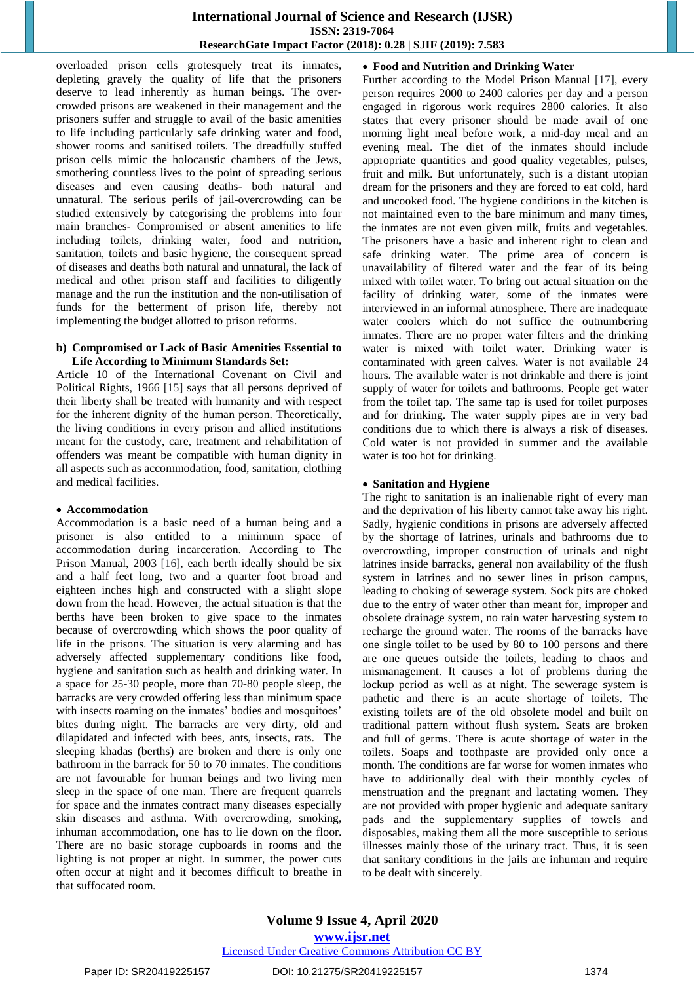overloaded prison cells grotesquely treat its inmates, depleting gravely the quality of life that the prisoners deserve to lead inherently as human beings. The overcrowded prisons are weakened in their management and the prisoners suffer and struggle to avail of the basic amenities to life including particularly safe drinking water and food, shower rooms and sanitised toilets. The dreadfully stuffed prison cells mimic the holocaustic chambers of the Jews, smothering countless lives to the point of spreading serious diseases and even causing deaths- both natural and unnatural. The serious perils of jail-overcrowding can be studied extensively by categorising the problems into four main branches- Compromised or absent amenities to life including toilets, drinking water, food and nutrition, sanitation, toilets and basic hygiene, the consequent spread of diseases and deaths both natural and unnatural, the lack of medical and other prison staff and facilities to diligently manage and the run the institution and the non-utilisation of funds for the betterment of prison life, thereby not implementing the budget allotted to prison reforms.

#### **b) Compromised or Lack of Basic Amenities Essential to Life According to Minimum Standards Set:**

Article 10 of the International Covenant on Civil and Political Rights, 1966 [15] says that all persons deprived of their liberty shall be treated with humanity and with respect for the inherent dignity of the human person. Theoretically, the living conditions in every prison and allied institutions meant for the custody, care, treatment and rehabilitation of offenders was meant be compatible with human dignity in all aspects such as accommodation, food, sanitation, clothing and medical facilities.

#### **Accommodation**

Accommodation is a basic need of a human being and a prisoner is also entitled to a minimum space of accommodation during incarceration. According to The Prison Manual, 2003 [16], each berth ideally should be six and a half feet long, two and a quarter foot broad and eighteen inches high and constructed with a slight slope down from the head. However, the actual situation is that the berths have been broken to give space to the inmates because of overcrowding which shows the poor quality of life in the prisons. The situation is very alarming and has adversely affected supplementary conditions like food, hygiene and sanitation such as health and drinking water. In a space for 25-30 people, more than 70-80 people sleep, the barracks are very crowded offering less than minimum space with insects roaming on the inmates' bodies and mosquitoes' bites during night. The barracks are very dirty, old and dilapidated and infected with bees, ants, insects, rats. The sleeping khadas (berths) are broken and there is only one bathroom in the barrack for 50 to 70 inmates. The conditions are not favourable for human beings and two living men sleep in the space of one man. There are frequent quarrels for space and the inmates contract many diseases especially skin diseases and asthma. With overcrowding, smoking, inhuman accommodation, one has to lie down on the floor. There are no basic storage cupboards in rooms and the lighting is not proper at night. In summer, the power cuts often occur at night and it becomes difficult to breathe in that suffocated room.

# **Food and Nutrition and Drinking Water**

Further according to the Model Prison Manual [17], every person requires 2000 to 2400 calories per day and a person engaged in rigorous work requires 2800 calories. It also states that every prisoner should be made avail of one morning light meal before work, a mid-day meal and an evening meal. The diet of the inmates should include appropriate quantities and good quality vegetables, pulses, fruit and milk. But unfortunately, such is a distant utopian dream for the prisoners and they are forced to eat cold, hard and uncooked food. The hygiene conditions in the kitchen is not maintained even to the bare minimum and many times, the inmates are not even given milk, fruits and vegetables. The prisoners have a basic and inherent right to clean and safe drinking water. The prime area of concern is unavailability of filtered water and the fear of its being mixed with toilet water. To bring out actual situation on the facility of drinking water, some of the inmates were interviewed in an informal atmosphere. There are inadequate water coolers which do not suffice the outnumbering inmates. There are no proper water filters and the drinking water is mixed with toilet water. Drinking water is contaminated with green calves. Water is not available 24 hours. The available water is not drinkable and there is joint supply of water for toilets and bathrooms. People get water from the toilet tap. The same tap is used for toilet purposes and for drinking. The water supply pipes are in very bad conditions due to which there is always a risk of diseases. Cold water is not provided in summer and the available water is too hot for drinking.

#### **Sanitation and Hygiene**

The right to sanitation is an inalienable right of every man and the deprivation of his liberty cannot take away his right. Sadly, hygienic conditions in prisons are adversely affected by the shortage of latrines, urinals and bathrooms due to overcrowding, improper construction of urinals and night latrines inside barracks, general non availability of the flush system in latrines and no sewer lines in prison campus, leading to choking of sewerage system. Sock pits are choked due to the entry of water other than meant for, improper and obsolete drainage system, no rain water harvesting system to recharge the ground water. The rooms of the barracks have one single toilet to be used by 80 to 100 persons and there are one queues outside the toilets, leading to chaos and mismanagement. It causes a lot of problems during the lockup period as well as at night. The sewerage system is pathetic and there is an acute shortage of toilets. The existing toilets are of the old obsolete model and built on traditional pattern without flush system. Seats are broken and full of germs. There is acute shortage of water in the toilets. Soaps and toothpaste are provided only once a month. The conditions are far worse for women inmates who have to additionally deal with their monthly cycles of menstruation and the pregnant and lactating women. They are not provided with proper hygienic and adequate sanitary pads and the supplementary supplies of towels and disposables, making them all the more susceptible to serious illnesses mainly those of the urinary tract. Thus, it is seen that sanitary conditions in the jails are inhuman and require to be dealt with sincerely.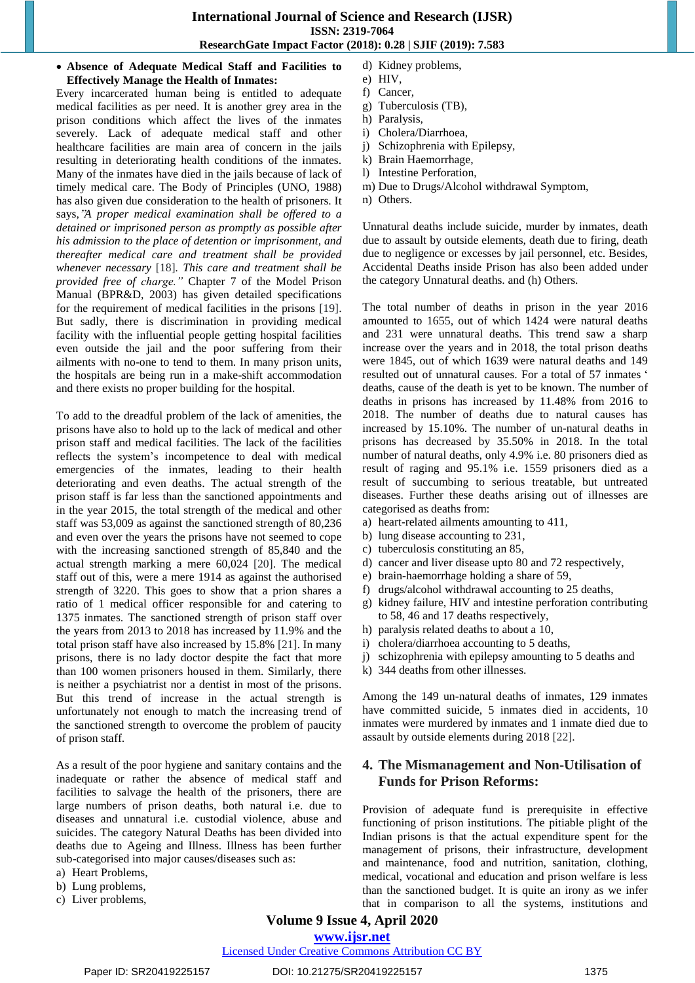**Absence of Adequate Medical Staff and Facilities to Effectively Manage the Health of Inmates:**

Every incarcerated human being is entitled to adequate medical facilities as per need. It is another grey area in the prison conditions which affect the lives of the inmates severely. Lack of adequate medical staff and other healthcare facilities are main area of concern in the jails resulting in deteriorating health conditions of the inmates. Many of the inmates have died in the jails because of lack of timely medical care. The Body of Principles (UNO, 1988) has also given due consideration to the health of prisoners. It says,"*A proper medical examination shall be offered to a detained or imprisoned person as promptly as possible after his admission to the place of detention or imprisonment, and thereafter medical care and treatment shall be provided whenever necessary* [18]*. This care and treatment shall be provided free of charge."* Chapter 7 of the Model Prison Manual (BPR&D, 2003) has given detailed specifications for the requirement of medical facilities in the prisons [19]. But sadly, there is discrimination in providing medical facility with the influential people getting hospital facilities even outside the jail and the poor suffering from their ailments with no-one to tend to them. In many prison units, the hospitals are being run in a make-shift accommodation and there exists no proper building for the hospital.

To add to the dreadful problem of the lack of amenities, the prisons have also to hold up to the lack of medical and other prison staff and medical facilities. The lack of the facilities reflects the system"s incompetence to deal with medical emergencies of the inmates, leading to their health deteriorating and even deaths. The actual strength of the prison staff is far less than the sanctioned appointments and in the year 2015, the total strength of the medical and other staff was 53,009 as against the sanctioned strength of 80,236 and even over the years the prisons have not seemed to cope with the increasing sanctioned strength of 85,840 and the actual strength marking a mere 60,024 [20]. The medical staff out of this, were a mere 1914 as against the authorised strength of 3220. This goes to show that a prion shares a ratio of 1 medical officer responsible for and catering to 1375 inmates. The sanctioned strength of prison staff over the years from 2013 to 2018 has increased by 11.9% and the total prison staff have also increased by 15.8% [21]. In many prisons, there is no lady doctor despite the fact that more than 100 women prisoners housed in them. Similarly, there is neither a psychiatrist nor a dentist in most of the prisons. But this trend of increase in the actual strength is unfortunately not enough to match the increasing trend of the sanctioned strength to overcome the problem of paucity of prison staff.

As a result of the poor hygiene and sanitary contains and the inadequate or rather the absence of medical staff and facilities to salvage the health of the prisoners, there are large numbers of prison deaths, both natural i.e. due to diseases and unnatural i.e. custodial violence, abuse and suicides. The category Natural Deaths has been divided into deaths due to Ageing and Illness. Illness has been further sub-categorised into major causes/diseases such as:

b) Lung problems,

c) Liver problems,

- d) Kidney problems,
- e) HIV,
- f) Cancer,
- g) Tuberculosis (TB),
- h) Paralysis,
- i) Cholera/Diarrhoea,
- j) Schizophrenia with Epilepsy,
- k) Brain Haemorrhage,
- l) Intestine Perforation,
- m) Due to Drugs/Alcohol withdrawal Symptom,
- n) Others.

Unnatural deaths include suicide, murder by inmates, death due to assault by outside elements, death due to firing, death due to negligence or excesses by jail personnel, etc. Besides, Accidental Deaths inside Prison has also been added under the category Unnatural deaths. and (h) Others.

The total number of deaths in prison in the year 2016 amounted to 1655, out of which 1424 were natural deaths and 231 were unnatural deaths. This trend saw a sharp increase over the years and in 2018, the total prison deaths were 1845, out of which 1639 were natural deaths and 149 resulted out of unnatural causes. For a total of 57 inmates ' deaths, cause of the death is yet to be known. The number of deaths in prisons has increased by 11.48% from 2016 to 2018. The number of deaths due to natural causes has increased by 15.10%. The number of un-natural deaths in prisons has decreased by 35.50% in 2018. In the total number of natural deaths, only 4.9% i.e. 80 prisoners died as result of raging and 95.1% i.e. 1559 prisoners died as a result of succumbing to serious treatable, but untreated diseases. Further these deaths arising out of illnesses are categorised as deaths from:

- a) heart-related ailments amounting to 411,
- b) lung disease accounting to 231,
- c) tuberculosis constituting an 85,
- d) cancer and liver disease upto 80 and 72 respectively,
- e) brain-haemorrhage holding a share of 59,
- f) drugs/alcohol withdrawal accounting to 25 deaths,
- g) kidney failure, HIV and intestine perforation contributing to 58, 46 and 17 deaths respectively,
- h) paralysis related deaths to about a 10,
- i) cholera/diarrhoea accounting to 5 deaths,
- j) schizophrenia with epilepsy amounting to 5 deaths and
- k) 344 deaths from other illnesses.

Among the 149 un-natural deaths of inmates, 129 inmates have committed suicide, 5 inmates died in accidents, 10 inmates were murdered by inmates and 1 inmate died due to assault by outside elements during 2018 [22].

# **4. The Mismanagement and Non-Utilisation of Funds for Prison Reforms:**

Provision of adequate fund is prerequisite in effective functioning of prison institutions. The pitiable plight of the Indian prisons is that the actual expenditure spent for the management of prisons, their infrastructure, development and maintenance, food and nutrition, sanitation, clothing, medical, vocational and education and prison welfare is less than the sanctioned budget. It is quite an irony as we infer that in comparison to all the systems, institutions and

**Volume 9 Issue 4, April 2020**

# **www.ijsr.net**

a) Heart Problems,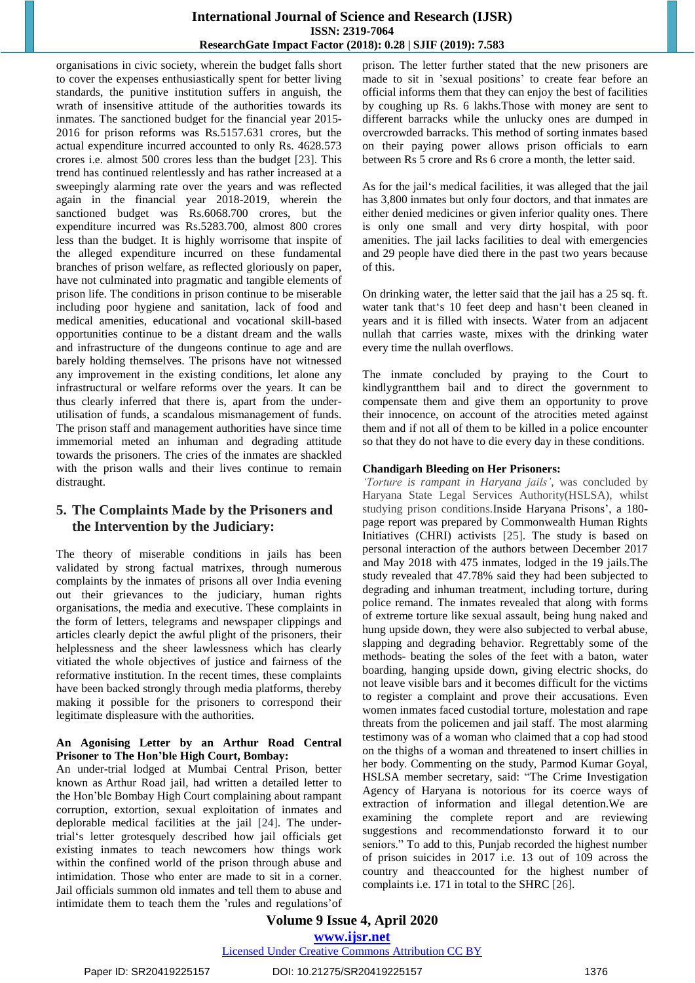organisations in civic society, wherein the budget falls short to cover the expenses enthusiastically spent for better living standards, the punitive institution suffers in anguish, the wrath of insensitive attitude of the authorities towards its inmates. The sanctioned budget for the financial year 2015- 2016 for prison reforms was Rs.5157.631 crores, but the actual expenditure incurred accounted to only Rs. 4628.573 crores i.e. almost 500 crores less than the budget [23]. This trend has continued relentlessly and has rather increased at a sweepingly alarming rate over the years and was reflected again in the financial year 2018-2019, wherein the sanctioned budget was Rs.6068.700 crores, but the expenditure incurred was Rs.5283.700, almost 800 crores less than the budget. It is highly worrisome that inspite of the alleged expenditure incurred on these fundamental branches of prison welfare, as reflected gloriously on paper, have not culminated into pragmatic and tangible elements of prison life. The conditions in prison continue to be miserable including poor hygiene and sanitation, lack of food and medical amenities, educational and vocational skill-based opportunities continue to be a distant dream and the walls and infrastructure of the dungeons continue to age and are barely holding themselves. The prisons have not witnessed any improvement in the existing conditions, let alone any infrastructural or welfare reforms over the years. It can be thus clearly inferred that there is, apart from the underutilisation of funds, a scandalous mismanagement of funds. The prison staff and management authorities have since time immemorial meted an inhuman and degrading attitude towards the prisoners. The cries of the inmates are shackled with the prison walls and their lives continue to remain distraught.

# **5. The Complaints Made by the Prisoners and the Intervention by the Judiciary:**

The theory of miserable conditions in jails has been validated by strong factual matrixes, through numerous complaints by the inmates of prisons all over India evening out their grievances to the judiciary, human rights organisations, the media and executive. These complaints in the form of letters, telegrams and newspaper clippings and articles clearly depict the awful plight of the prisoners, their helplessness and the sheer lawlessness which has clearly vitiated the whole objectives of justice and fairness of the reformative institution. In the recent times, these complaints have been backed strongly through media platforms, thereby making it possible for the prisoners to correspond their legitimate displeasure with the authorities.

#### **An Agonising Letter by an Arthur Road Central Prisoner to The Hon'ble High Court, Bombay:**

An under-trial lodged at Mumbai Central Prison, better known as Arthur Road jail, had written a detailed letter to the Hon"ble Bombay High Court complaining about rampant corruption, extortion, sexual exploitation of inmates and deplorable medical facilities at the jail [24]. The undertrial's letter grotesquely described how jail officials get existing inmates to teach newcomers how things work within the confined world of the prison through abuse and intimidation. Those who enter are made to sit in a corner. Jail officials summon old inmates and tell them to abuse and intimidate them to teach them the 'rules and regulations"of prison. The letter further stated that the new prisoners are made to sit in 'sexual positions" to create fear before an official informs them that they can enjoy the best of facilities by coughing up Rs. 6 lakhs.Those with money are sent to different barracks while the unlucky ones are dumped in overcrowded barracks. This method of sorting inmates based on their paying power allows prison officials to earn between Rs 5 crore and Rs 6 crore a month, the letter said.

As for the jail's medical facilities, it was alleged that the jail has 3,800 inmates but only four doctors, and that inmates are either denied medicines or given inferior quality ones. There is only one small and very dirty hospital, with poor amenities. The jail lacks facilities to deal with emergencies and 29 people have died there in the past two years because of this.

On drinking water, the letter said that the jail has a 25 sq. ft. water tank that's 10 feet deep and hasn't been cleaned in years and it is filled with insects. Water from an adjacent nullah that carries waste, mixes with the drinking water every time the nullah overflows.

The inmate concluded by praying to the Court to kindlygrantthem bail and to direct the government to compensate them and give them an opportunity to prove their innocence, on account of the atrocities meted against them and if not all of them to be killed in a police encounter so that they do not have to die every day in these conditions.

#### **Chandigarh Bleeding on Her Prisoners:**

*"Torture is rampant in Haryana jails"*, was concluded by Haryana State Legal Services Authority(HSLSA), whilst studying prison conditions.Inside Haryana Prisons', a 180page report was prepared by Commonwealth Human Rights Initiatives (CHRI) activists [25]. The study is based on personal interaction of the authors between December 2017 and May 2018 with 475 inmates, lodged in the 19 jails.The study revealed that 47.78% said they had been subjected to degrading and inhuman treatment, including torture, during police remand. The inmates revealed that along with forms of extreme torture like sexual assault, being hung naked and hung upside down, they were also subjected to verbal abuse, slapping and degrading behavior. Regrettably some of the methods- beating the soles of the feet with a baton, water boarding, hanging upside down, giving electric shocks, do not leave visible bars and it becomes difficult for the victims to register a complaint and prove their accusations. Even women inmates faced custodial torture, molestation and rape threats from the policemen and jail staff. The most alarming testimony was of a woman who claimed that a cop had stood on the thighs of a woman and threatened to insert chillies in her body. Commenting on the study, Parmod Kumar Goyal, HSLSA member secretary, said: "The Crime Investigation Agency of Haryana is notorious for its coerce ways of extraction of information and illegal detention.We are examining the complete report and are reviewing suggestions and recommendationsto forward it to our seniors." To add to this, Punjab recorded the highest number of prison suicides in 2017 i.e. 13 out of 109 across the country and theaccounted for the highest number of complaints i.e. 171 in total to the SHRC [26].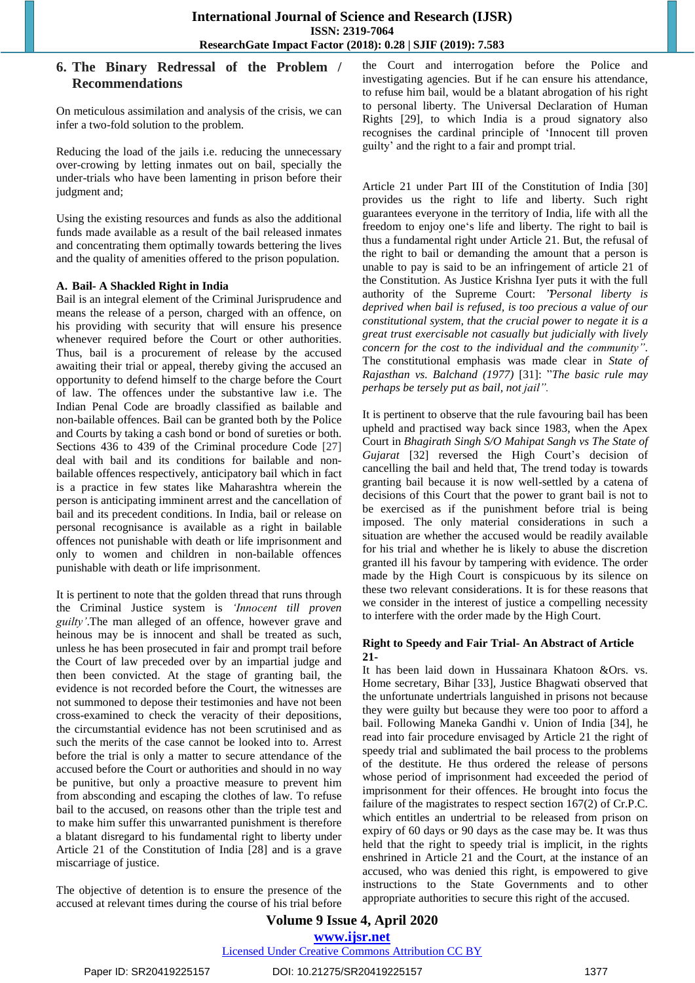# **6. The Binary Redressal of the Problem / Recommendations**

On meticulous assimilation and analysis of the crisis, we can infer a two-fold solution to the problem.

Reducing the load of the jails i.e. reducing the unnecessary over-crowing by letting inmates out on bail, specially the under-trials who have been lamenting in prison before their judgment and;

Using the existing resources and funds as also the additional funds made available as a result of the bail released inmates and concentrating them optimally towards bettering the lives and the quality of amenities offered to the prison population.

#### **A. Bail- A Shackled Right in India**

Bail is an integral element of the Criminal Jurisprudence and means the release of a person, charged with an offence, on his providing with security that will ensure his presence whenever required before the Court or other authorities. Thus, bail is a procurement of release by the accused awaiting their trial or appeal, thereby giving the accused an opportunity to defend himself to the charge before the Court of law. The offences under the substantive law i.e. The Indian Penal Code are broadly classified as bailable and non-bailable offences. Bail can be granted both by the Police and Courts by taking a cash bond or bond of sureties or both. Sections 436 to 439 of the Criminal procedure Code [27] deal with bail and its conditions for bailable and nonbailable offences respectively, anticipatory bail which in fact is a practice in few states like Maharashtra wherein the person is anticipating imminent arrest and the cancellation of bail and its precedent conditions. In India, bail or release on personal recognisance is available as a right in bailable offences not punishable with death or life imprisonment and only to women and children in non-bailable offences punishable with death or life imprisonment.

It is pertinent to note that the golden thread that runs through the Criminal Justice system is *"Innocent till proven guilty"*.The man alleged of an offence, however grave and heinous may be is innocent and shall be treated as such, unless he has been prosecuted in fair and prompt trail before the Court of law preceded over by an impartial judge and then been convicted. At the stage of granting bail, the evidence is not recorded before the Court, the witnesses are not summoned to depose their testimonies and have not been cross-examined to check the veracity of their depositions, the circumstantial evidence has not been scrutinised and as such the merits of the case cannot be looked into to. Arrest before the trial is only a matter to secure attendance of the accused before the Court or authorities and should in no way be punitive, but only a proactive measure to prevent him from absconding and escaping the clothes of law. To refuse bail to the accused, on reasons other than the triple test and to make him suffer this unwarranted punishment is therefore a blatant disregard to his fundamental right to liberty under Article 21 of the Constitution of India [28] and is a grave miscarriage of justice.

The objective of detention is to ensure the presence of the accused at relevant times during the course of his trial before the Court and interrogation before the Police and investigating agencies. But if he can ensure his attendance, to refuse him bail, would be a blatant abrogation of his right to personal liberty. The Universal Declaration of Human Rights [29], to which India is a proud signatory also recognises the cardinal principle of "Innocent till proven guilty" and the right to a fair and prompt trial.

Article 21 under Part III of the Constitution of India [30] provides us the right to life and liberty. Such right guarantees everyone in the territory of India, life with all the freedom to enjoy one's life and liberty. The right to bail is thus a fundamental right under Article 21. But, the refusal of the right to bail or demanding the amount that a person is unable to pay is said to be an infringement of article 21 of the Constitution. As Justice Krishna Iyer puts it with the full authority of the Supreme Court: "*Personal liberty is deprived when bail is refused, is too precious a value of our constitutional system, that the crucial power to negate it is a great trust exercisable not casually but judicially with lively concern for the cost to the individual and the community"*. The constitutional emphasis was made clear in *State of Rajasthan vs. Balchand (1977)* [31]: "*The basic rule may perhaps be tersely put as bail, not jail".*

It is pertinent to observe that the rule favouring bail has been upheld and practised way back since 1983, when the Apex Court in *Bhagirath Singh S/O Mahipat Sangh vs The State of Gujarat* [32] reversed the High Court's decision of cancelling the bail and held that, The trend today is towards granting bail because it is now well-settled by a catena of decisions of this Court that the power to grant bail is not to be exercised as if the punishment before trial is being imposed. The only material considerations in such a situation are whether the accused would be readily available for his trial and whether he is likely to abuse the discretion granted ill his favour by tampering with evidence. The order made by the High Court is conspicuous by its silence on these two relevant considerations. It is for these reasons that we consider in the interest of justice a compelling necessity to interfere with the order made by the High Court.

#### **Right to Speedy and Fair Trial- An Abstract of Article 21-**

It has been laid down in Hussainara Khatoon &Ors. vs. Home secretary, Bihar [33]*,* Justice Bhagwati observed that the unfortunate undertrials languished in prisons not because they were guilty but because they were too poor to afford a bail. Following Maneka Gandhi v. Union of India [34], he read into fair procedure envisaged by Article 21 the right of speedy trial and sublimated the bail process to the problems of the destitute. He thus ordered the release of persons whose period of imprisonment had exceeded the period of imprisonment for their offences. He brought into focus the failure of the magistrates to respect section 167(2) of Cr.P.C. which entitles an undertrial to be released from prison on expiry of 60 days or 90 days as the case may be. It was thus held that the right to speedy trial is implicit, in the rights enshrined in Article 21 and the Court, at the instance of an accused, who was denied this right, is empowered to give instructions to the State Governments and to other appropriate authorities to secure this right of the accused.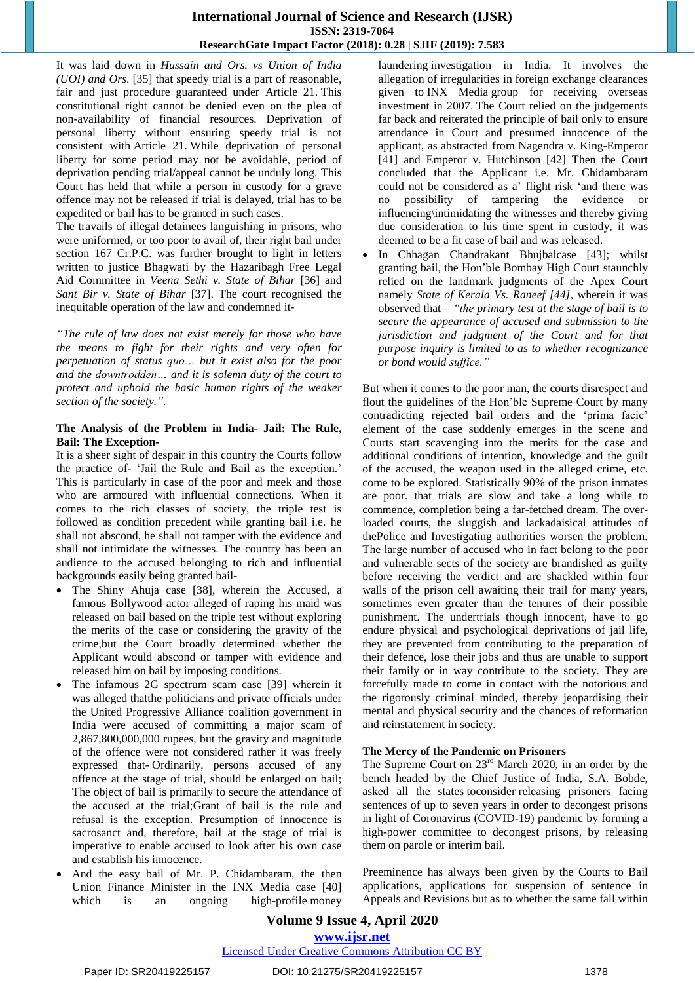It was laid down in *Hussain and Ors. vs Union of India (UOI) and Ors*. [35] that speedy trial is a part of reasonable, fair and just procedure guaranteed under Article 21. This constitutional right cannot be denied even on the plea of non-availability of financial resources. Deprivation of personal liberty without ensuring speedy trial is not consistent with Article 21. While deprivation of personal liberty for some period may not be avoidable, period of deprivation pending trial/appeal cannot be unduly long. This Court has held that while a person in custody for a grave offence may not be released if trial is delayed, trial has to be expedited or bail has to be granted in such cases.

The travails of illegal detainees languishing in prisons, who were uniformed, or too poor to avail of, their right bail under section 167 Cr.P.C. was further brought to light in letters written to justice Bhagwati by the Hazaribagh Free Legal Aid Committee in *Veena Sethi v. State of Bihar* [36] and *Sant Bir v. State of Bihar* [37]. The court recognised the inequitable operation of the law and condemned it-

*"The rule of law does not exist merely for those who have the means to fight for their rights and very often for perpetuation of status quo… but it exist also for the poor and the downtrodden… and it is solemn duty of the court to protect and uphold the basic human rights of the weaker section of the society.".*

#### **The Analysis of the Problem in India- Jail: The Rule, Bail: The Exception-**

It is a sheer sight of despair in this country the Courts follow the practice of- "Jail the Rule and Bail as the exception." This is particularly in case of the poor and meek and those who are armoured with influential connections. When it comes to the rich classes of society, the triple test is followed as condition precedent while granting bail i.e. he shall not abscond, he shall not tamper with the evidence and shall not intimidate the witnesses. The country has been an audience to the accused belonging to rich and influential backgrounds easily being granted bail-

- The Shiny Ahuja case [38], wherein the Accused, a famous Bollywood actor alleged of raping his maid was released on bail based on the triple test without exploring the merits of the case or considering the gravity of the crime,but the Court broadly determined whether the Applicant would abscond or tamper with evidence and released him on bail by imposing conditions.
- The infamous 2G spectrum scam case [39] wherein it was alleged thatthe politicians and private officials under the United Progressive Alliance coalition government in India were accused of committing a major scam of 2,867,800,000,000 rupees, but the gravity and magnitude of the offence were not considered rather it was freely expressed that- Ordinarily, persons accused of any offence at the stage of trial, should be enlarged on bail; The object of bail is primarily to secure the attendance of the accused at the trial;Grant of bail is the rule and refusal is the exception. Presumption of innocence is sacrosanct and, therefore, bail at the stage of trial is imperative to enable accused to look after his own case and establish his innocence.
- And the easy bail of Mr. P. Chidambaram, the then Union Finance Minister in the INX Media case [40] which is an ongoing high-profile money

laundering investigation in India. It involves the allegation of irregularities in foreign exchange clearances given to INX Media group for receiving overseas investment in 2007. The Court relied on the judgements far back and reiterated the principle of bail only to ensure attendance in Court and presumed innocence of the applicant, as abstracted from Nagendra v. King-Emperor [41] and Emperor v. Hutchinson [42] Then the Court concluded that the Applicant i.e. Mr. Chidambaram could not be considered as a' flight risk 'and there was no possibility of tampering the evidence or influencing\intimidating the witnesses and thereby giving due consideration to his time spent in custody, it was deemed to be a fit case of bail and was released.

 In Chhagan Chandrakant Bhujbalcase [43]; whilst granting bail, the Hon"ble Bombay High Court staunchly relied on the landmark judgments of the Apex Court namely *State of Kerala Vs. Raneef [44]*, wherein it was observed that – *"the primary test at the stage of bail is to secure the appearance of accused and submission to the jurisdiction and judgment of the Court and for that purpose inquiry is limited to as to whether recognizance or bond would suffice."*

But when it comes to the poor man, the courts disrespect and flout the guidelines of the Hon"ble Supreme Court by many contradicting rejected bail orders and the "prima facie" element of the case suddenly emerges in the scene and Courts start scavenging into the merits for the case and additional conditions of intention, knowledge and the guilt of the accused, the weapon used in the alleged crime, etc. come to be explored. Statistically 90% of the prison inmates are poor. that trials are slow and take a long while to commence, completion being a far-fetched dream. The overloaded courts, the sluggish and lackadaisical attitudes of thePolice and Investigating authorities worsen the problem. The large number of accused who in fact belong to the poor and vulnerable sects of the society are brandished as guilty before receiving the verdict and are shackled within four walls of the prison cell awaiting their trail for many years, sometimes even greater than the tenures of their possible punishment. The undertrials though innocent, have to go endure physical and psychological deprivations of jail life, they are prevented from contributing to the preparation of their defence, lose their jobs and thus are unable to support their family or in way contribute to the society. They are forcefully made to come in contact with the notorious and the rigorously criminal minded, thereby jeopardising their mental and physical security and the chances of reformation and reinstatement in society.

#### **The Mercy of the Pandemic on Prisoners**

The Supreme Court on 23<sup>rd</sup> March 2020, in an order by the bench headed by the Chief Justice of India, S.A. Bobde, asked all the states toconsider releasing prisoners facing sentences of up to seven years in order to decongest prisons in light of Coronavirus (COVID-19) pandemic by forming a high-power committee to decongest prisons, by releasing them on parole or interim bail.

Preeminence has always been given by the Courts to Bail applications, applications for suspension of sentence in Appeals and Revisions but as to whether the same fall within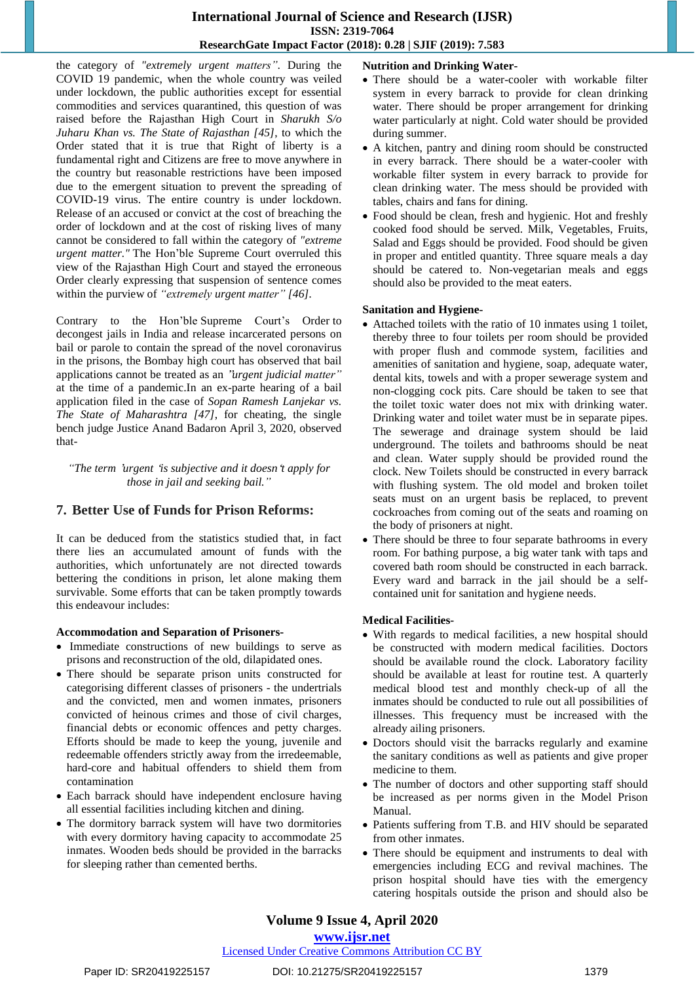the category of *"extremely urgent matters"*. During the COVID 19 pandemic, when the whole country was veiled under lockdown, the public authorities except for essential commodities and services quarantined, this question of was raised before the Rajasthan High Court in *Sharukh S/o Juharu Khan vs. The State of Rajasthan [45]*, to which the Order stated that it is true that Right of liberty is a fundamental right and Citizens are free to move anywhere in the country but reasonable restrictions have been imposed due to the emergent situation to prevent the spreading of COVID-19 virus. The entire country is under lockdown. Release of an accused or convict at the cost of breaching the order of lockdown and at the cost of risking lives of many cannot be considered to fall within the category of *"extreme urgent matter."* The Hon"ble Supreme Court overruled this view of the Rajasthan High Court and stayed the erroneous Order clearly expressing that suspension of sentence comes within the purview of *"extremely urgent matter" [46].*

Contrary to the Hon"ble Supreme Court"s Order to decongest jails in India and release incarcerated persons on bail or parole to contain the spread of the novel coronavirus in the prisons, the Bombay high court has observed that bail applications cannot be treated as an "*urgent judicial matter"* at the time of a pandemic.In an ex-parte hearing of a bail application filed in the case of *Sopan Ramesh Lanjekar vs. The State of Maharashtra [47]*, for cheating, the single bench judge Justice Anand Badaron April 3, 2020, observed that-

*"The term* '*urgent* '*is subjective and it doesn*'*t apply for those in jail and seeking bail."*

# **7. Better Use of Funds for Prison Reforms:**

It can be deduced from the statistics studied that, in fact there lies an accumulated amount of funds with the authorities, which unfortunately are not directed towards bettering the conditions in prison, let alone making them survivable. Some efforts that can be taken promptly towards this endeavour includes:

## **Accommodation and Separation of Prisoners-**

- Immediate constructions of new buildings to serve as prisons and reconstruction of the old, dilapidated ones.
- There should be separate prison units constructed for categorising different classes of prisoners - the undertrials and the convicted, men and women inmates, prisoners convicted of heinous crimes and those of civil charges, financial debts or economic offences and petty charges. Efforts should be made to keep the young, juvenile and redeemable offenders strictly away from the irredeemable, hard-core and habitual offenders to shield them from contamination
- Each barrack should have independent enclosure having all essential facilities including kitchen and dining.
- The dormitory barrack system will have two dormitories with every dormitory having capacity to accommodate 25 inmates. Wooden beds should be provided in the barracks for sleeping rather than cemented berths.

# **Nutrition and Drinking Water-**

- There should be a water-cooler with workable filter system in every barrack to provide for clean drinking water. There should be proper arrangement for drinking water particularly at night. Cold water should be provided during summer.
- A kitchen, pantry and dining room should be constructed in every barrack. There should be a water-cooler with workable filter system in every barrack to provide for clean drinking water. The mess should be provided with tables, chairs and fans for dining.
- Food should be clean, fresh and hygienic. Hot and freshly cooked food should be served. Milk, Vegetables, Fruits, Salad and Eggs should be provided. Food should be given in proper and entitled quantity. Three square meals a day should be catered to. Non-vegetarian meals and eggs should also be provided to the meat eaters.

#### **Sanitation and Hygiene-**

- Attached toilets with the ratio of 10 inmates using 1 toilet, thereby three to four toilets per room should be provided with proper flush and commode system, facilities and amenities of sanitation and hygiene, soap, adequate water, dental kits, towels and with a proper sewerage system and non-clogging cock pits. Care should be taken to see that the toilet toxic water does not mix with drinking water. Drinking water and toilet water must be in separate pipes. The sewerage and drainage system should be laid underground. The toilets and bathrooms should be neat and clean. Water supply should be provided round the clock. New Toilets should be constructed in every barrack with flushing system. The old model and broken toilet seats must on an urgent basis be replaced, to prevent cockroaches from coming out of the seats and roaming on the body of prisoners at night.
- There should be three to four separate bathrooms in every room. For bathing purpose, a big water tank with taps and covered bath room should be constructed in each barrack. Every ward and barrack in the jail should be a selfcontained unit for sanitation and hygiene needs.

## **Medical Facilities-**

- With regards to medical facilities, a new hospital should be constructed with modern medical facilities. Doctors should be available round the clock. Laboratory facility should be available at least for routine test. A quarterly medical blood test and monthly check-up of all the inmates should be conducted to rule out all possibilities of illnesses. This frequency must be increased with the already ailing prisoners.
- Doctors should visit the barracks regularly and examine the sanitary conditions as well as patients and give proper medicine to them.
- The number of doctors and other supporting staff should be increased as per norms given in the Model Prison Manual.
- Patients suffering from T.B. and HIV should be separated from other inmates.
- There should be equipment and instruments to deal with emergencies including ECG and revival machines. The prison hospital should have ties with the emergency catering hospitals outside the prison and should also be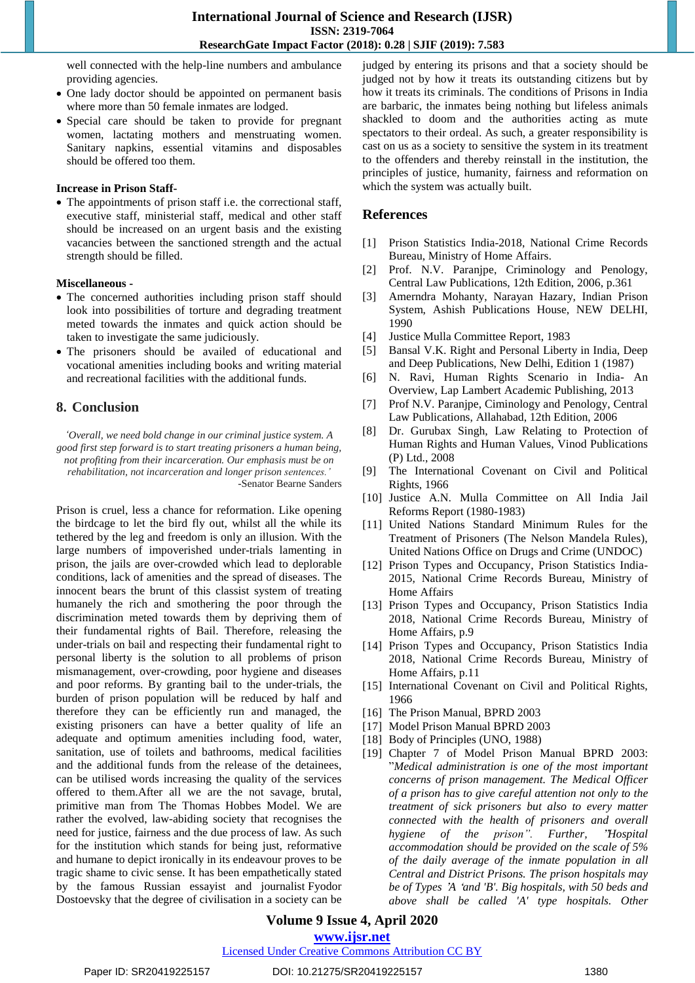well connected with the help-line numbers and ambulance providing agencies.

- One lady doctor should be appointed on permanent basis where more than 50 female inmates are lodged.
- Special care should be taken to provide for pregnant women, lactating mothers and menstruating women. Sanitary napkins, essential vitamins and disposables should be offered too them.

#### **Increase in Prison Staff-**

• The appointments of prison staff i.e. the correctional staff, executive staff, ministerial staff, medical and other staff should be increased on an urgent basis and the existing vacancies between the sanctioned strength and the actual strength should be filled.

#### **Miscellaneous -**

- The concerned authorities including prison staff should look into possibilities of torture and degrading treatment meted towards the inmates and quick action should be taken to investigate the same judiciously.
- The prisoners should be availed of educational and vocational amenities including books and writing material and recreational facilities with the additional funds.

# **8. Conclusion**

*"Overall, we need bold change in our criminal justice system. A good first step forward is to start treating prisoners a human being, not profiting from their incarceration. Our emphasis must be on rehabilitation, not incarceration and longer prison sentences."*

-Senator Bearne Sanders

Prison is cruel, less a chance for reformation. Like opening the birdcage to let the bird fly out, whilst all the while its tethered by the leg and freedom is only an illusion. With the large numbers of impoverished under-trials lamenting in prison, the jails are over-crowded which lead to deplorable conditions, lack of amenities and the spread of diseases. The innocent bears the brunt of this classist system of treating humanely the rich and smothering the poor through the discrimination meted towards them by depriving them of their fundamental rights of Bail. Therefore, releasing the under-trials on bail and respecting their fundamental right to personal liberty is the solution to all problems of prison mismanagement, over-crowding, poor hygiene and diseases and poor reforms. By granting bail to the under-trials, the burden of prison population will be reduced by half and therefore they can be efficiently run and managed, the existing prisoners can have a better quality of life an adequate and optimum amenities including food, water, sanitation, use of toilets and bathrooms, medical facilities and the additional funds from the release of the detainees, can be utilised words increasing the quality of the services offered to them.After all we are the not savage, brutal, primitive man from The Thomas Hobbes Model. We are rather the evolved, law-abiding society that recognises the need for justice, fairness and the due process of law. As such for the institution which stands for being just, reformative and humane to depict ironically in its endeavour proves to be tragic shame to civic sense. It has been empathetically stated by the famous Russian essayist and journalist Fyodor Dostoevsky that the degree of civilisation in a society can be judged by entering its prisons and that a society should be judged not by how it treats its outstanding citizens but by how it treats its criminals. The conditions of Prisons in India are barbaric, the inmates being nothing but lifeless animals shackled to doom and the authorities acting as mute spectators to their ordeal. As such, a greater responsibility is cast on us as a society to sensitive the system in its treatment to the offenders and thereby reinstall in the institution, the principles of justice, humanity, fairness and reformation on which the system was actually built.

#### **References**

- [1] Prison Statistics India-2018, National Crime Records Bureau, Ministry of Home Affairs.
- [2] Prof. N.V. Paranjpe, Criminology and Penology, Central Law Publications, 12th Edition, 2006, p.361
- [3] Amerndra Mohanty, Narayan Hazary, Indian Prison System, Ashish Publications House, NEW DELHI, 1990
- [4] Justice Mulla Committee Report, 1983
- [5] Bansal V.K. Right and Personal Liberty in India, Deep and Deep Publications, New Delhi, Edition 1 (1987)
- [6] N. Ravi, Human Rights Scenario in India- An Overview, Lap Lambert Academic Publishing, 2013
- [7] Prof N.V. Paranjpe, Ciminology and Penology, Central Law Publications, Allahabad, 12th Edition, 2006
- [8] Dr. Gurubax Singh, Law Relating to Protection of Human Rights and Human Values, Vinod Publications (P) Ltd., 2008
- [9] The International Covenant on Civil and Political Rights, 1966
- [10] Justice A.N. Mulla Committee on All India Jail Reforms Report (1980-1983)
- [11] United Nations Standard Minimum Rules for the Treatment of Prisoners (The Nelson Mandela Rules), United Nations Office on Drugs and Crime (UNDOC)
- [12] Prison Types and Occupancy, Prison Statistics India-2015, National Crime Records Bureau, Ministry of Home Affairs
- [13] Prison Types and Occupancy, Prison Statistics India 2018, National Crime Records Bureau, Ministry of Home Affairs, p.9
- [14] Prison Types and Occupancy, Prison Statistics India 2018, National Crime Records Bureau, Ministry of Home Affairs, p.11
- [15] International Covenant on Civil and Political Rights, 1966
- [16] The Prison Manual, BPRD 2003
- [17] Model Prison Manual BPRD 2003
- [18] Body of Principles (UNO, 1988)
- [19] Chapter 7 of Model Prison Manual BPRD 2003: "*Medical administration is one of the most important concerns of prison management. The Medical Officer of a prison has to give careful attention not only to the treatment of sick prisoners but also to every matter connected with the health of prisoners and overall hygiene of the prison". Further,* "*Hospital accommodation should be provided on the scale of 5% of the daily average of the inmate population in all Central and District Prisons. The prison hospitals may be of Types* '*A* '*and 'B'. Big hospitals, with 50 beds and above shall be called 'A' type hospitals. Other*

**Volume 9 Issue 4, April 2020**

**www.ijsr.net**